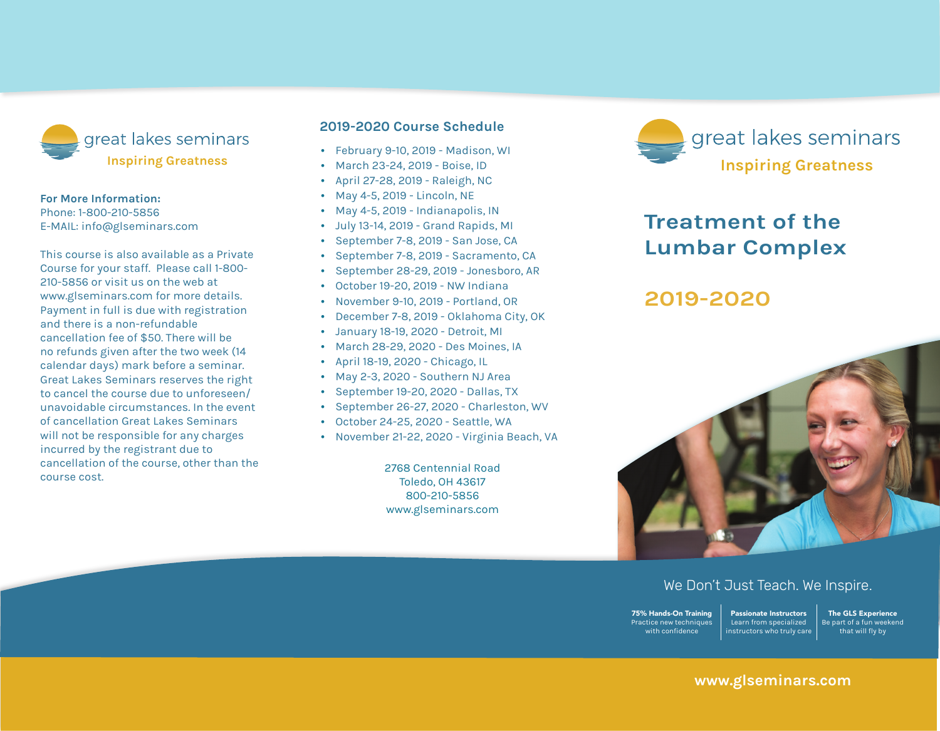

#### **For More Information:**

Phone: 1-800-210-5856 E-mail: info@glseminars.com

Payment in full is due with registration and there is a non-refundable cancellation fee of \$50. There will be no refunds given within two weeks (14 calendar days) of the seminar. Great Lakes Seminars reserves the right to cancel the course due to unforeseen/ unavoidable circumstances. In the event of a cancellation Great Lakes Seminars will not be responsible for any charges incurred by the registrant other than the course cost.

This course is also available as a private course for your staff. Please call 1-800-210-5856 or visit us on the web at www.glseminars.com for more details.

#### **2022 Course Schedule**

- February 12-13, 2022 Baltimore, MD
- March 5-6, 2022 Rockford, IL
- March 19-20, 2022 Minneapolis, MN
- April 23-24. 2022 Nashville, TN
- May 14-15, 2022 Tulsa, OK
- June 11-12, 2022 East Windsor, NJ
- August 6-7, 2022 Seattle, WA
- September 10-11, 2022 Billings/Missoula, MT
- November 19-20, 2022 Columbus, OH

Please check our website for the most updated schedule: www.glseminars.com



# **Treatment of the Lumbar Complex**

# **2022**



## We Don't Just Teach. We Inspire.

75% Hands-On Training Practice new techniques with confidence Passionate Instructors Learn from specialized instructors who truly care

The GLS Experience Be part of a fun weekend that will fly by

## **www.glseminars.com**